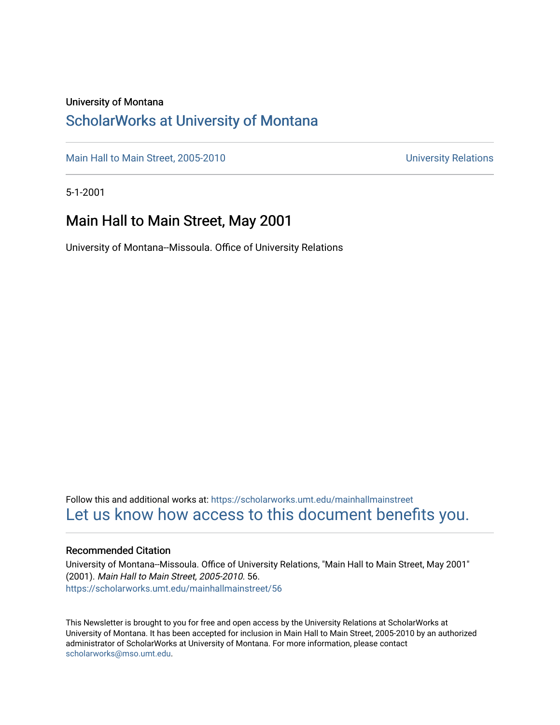#### University of Montana

#### [ScholarWorks at University of Montana](https://scholarworks.umt.edu/)

[Main Hall to Main Street, 2005-2010](https://scholarworks.umt.edu/mainhallmainstreet) Main Hall to Main Street, 2005-2010

5-1-2001

#### Main Hall to Main Street, May 2001

University of Montana--Missoula. Office of University Relations

Follow this and additional works at: [https://scholarworks.umt.edu/mainhallmainstreet](https://scholarworks.umt.edu/mainhallmainstreet?utm_source=scholarworks.umt.edu%2Fmainhallmainstreet%2F56&utm_medium=PDF&utm_campaign=PDFCoverPages) [Let us know how access to this document benefits you.](https://goo.gl/forms/s2rGfXOLzz71qgsB2) 

#### Recommended Citation

University of Montana--Missoula. Office of University Relations, "Main Hall to Main Street, May 2001" (2001). Main Hall to Main Street, 2005-2010. 56. [https://scholarworks.umt.edu/mainhallmainstreet/56](https://scholarworks.umt.edu/mainhallmainstreet/56?utm_source=scholarworks.umt.edu%2Fmainhallmainstreet%2F56&utm_medium=PDF&utm_campaign=PDFCoverPages) 

This Newsletter is brought to you for free and open access by the University Relations at ScholarWorks at University of Montana. It has been accepted for inclusion in Main Hall to Main Street, 2005-2010 by an authorized administrator of ScholarWorks at University of Montana. For more information, please contact [scholarworks@mso.umt.edu.](mailto:scholarworks@mso.umt.edu)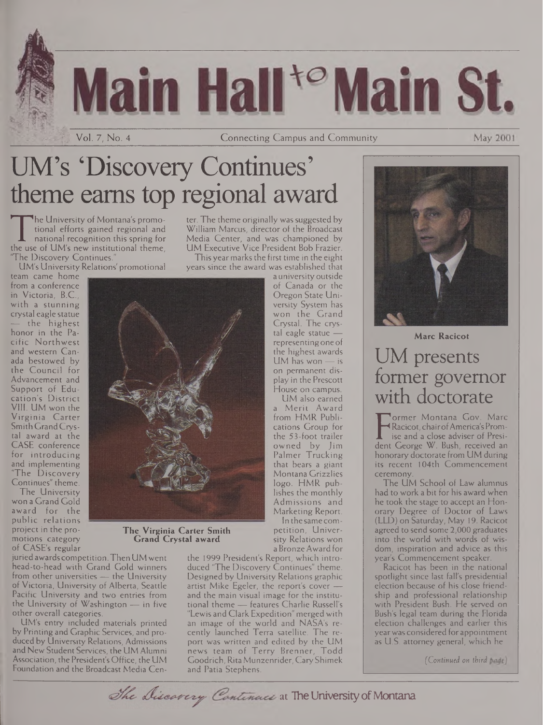Vol. 7, No. 4 Connecting Campus and Community

Main Hall<sup>to</sup> Main St.

# UM's 'Discovery Continues' theme earns top regional award

The University of Montana's promote<br>tional efforts gained regional and<br>the use of UM's new institutional theme,<br>The Discovery Continues" he University of Montana's promotional efforts gained regional and national recognition this spring for 'The Discovery Continues."

UM's UniversityRelations' promotional

team came home from a conference in Victoria, B.C., with a stunning crystal eagle statue the highest honor in the Pacific Northwest and western Canada bestowed by the Council for Advancement and Support of Education's District VIII. UM won the Virginia Carter Smith GrandCrystal award at the CASE conference for introducing and implementing "The Discovery Continues" theme.

4

Sr A, •'

The University won a Grand Gold award for the public relations project in the promotions category of CASE's regular



**The Virginia Carter Smith Grand Crystal award**

juried awards competition.Then UM went head-to-head with Grand Gold winners from other universities — the University of Victoria, University of Alberta, Seattle Pacific University and two entries from the University of Washington — in five other overall categories.

UM's entry included materials printed by Printing and Graphic Services, and produced by University Relations, Admissions and New Student Services, the UM Alumni Association, the President's Office, the UM Foundation and the Broadcast Media Center. The theme originally was suggested by William Marcus, director of the Broadcast Media Center, and was championed by UM Executive Vice President Bob Frazier.

Thisyear marks the first time in the eight years since the award was established that

a university outside of Canada or the Oregon State University System has won the Grand Crystal. The crystal eagle statue representingone of the highest awards UM has won — is on permanent display in the Prescott House on campus.

UM also earned a Merit Award from HMR Publications Group for the 53-foot trailer owned by Jim Palmer Trucking that bears a giant Montana Grizzlies logo. HMR publishes the monthly Admissions and Marketing Report. In the same com-

petition, University Relations won a BronzeAward for

the 1999 President's Report, which introduced 'The Discovery Continues" theme. Designed by University Relations graphic artist Mike Egeler, the report's cover and the main visual image for the institutional theme — features Charlie Russell's "Lewis and Clark Expedition" merged with an image of the world and NASA's recently launched Terra satellite. The report was written and edited by the UM news team of Terry Brenner, Todd Goodrich, Rita Munzenrider, Cary Shimek and Patia Stephens.



May 2001

**Marc Racicot**

### UM presents former governor with doctorate

F Racicot, chair of America's Prom-<br>ise and a close adviser of Presi-<br>dent George W. Bush, received an<br>honorany doctorate from UM during ormer Montana Gov. Marc Racicot, chairofAmerica'sPromise and a close adviser of Presihonorary doctorate from UM during its recent 104th Commencement ceremony.

The UM School of Law alumnus had to work a bit for his award when he took the stage to accept an Honorary Degree of Doctor of Laws (LLD) on Saturday, May 19. Racicot agreed to send some 2,000 graduates into the world with words of wisdom, inspiration and advice as this year's Commencement speaker.

Racicot has been in the national spotlight since last fall's presidential election because of his close friendship and professional relationship with President Bush. He served on Bush's legal team during the Florida election challenges and earlier this year was considered for appointment as U.S. attorney general, which he

*(Continued on third*

The Discovery Continues at The University of Montana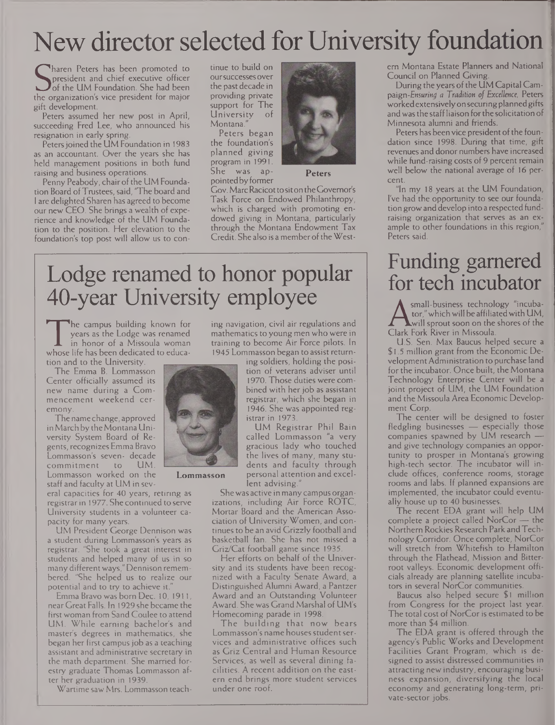# New director selected for University foundation

Spesident and chief executive officer<br>the organization's vice president for major<br>out development haren Peters has been promoted to president and chief executive officer of the UM Foundation. She had been gift development.

Peters assumed her new post in April, succeeding Fred Lee, who announced his resignation in early spring.

Peters joined the UM Foundation in 1983 as an accountant. Over the years she has held management positions in both fund raising and business operations.

Penny Peabody, chair of the UM Foundation Board of Trustees, said, 'The board and <sup>I</sup> are delighted Sharen has agreed to become our new CEO. She brings a wealth of experience and knowledge of the UM Foundation to the position. Her elevation to the foundation's top post will allow us to continue to build on oursuccesses over the past decade in providing private support for The<br>University of University Montana."

Peters began the foundation's planned giving program in 1991. She was appointedbyformer



**Peters**

Gov.MarcRacicottositontheGovernor's Task Force on Endowed Philanthropy, which is charged with promoting endowed giving in Montana, particularly through the Montana Endowment Tax Credit. She also is a memberoftheWest-

## Lodge renamed to honor popular 40-year University employee

 $\frac{1}{\text{whose} \atop \text{tion ar}}$ he campus building known for years as the Lodge was renamed in honor of a Missoula woman life has been dedicated to educa- 1 tion and to the University.

The Emma B. Lommasson Center officially assumed its new name during a Commencement weekend ceremony.

The name change, approved in March by the Montana University System Board of Regents, recognizesEmma Bravo Lommasson's seven- decade commitment Lommasson worked on the

staff and faculty at UM in several capacities for 40 years, retiring as registrarin 1977. She continued to serve

University students in a volunteer capacity for many years.

UM President George Dennison was a student during Lommasson's years as registrar. "She took a great interest in students and helped many of us in so many different ways," Dennison remembered. "She helped us to realize our potential and to try to achieve it.

Emma Bravo was born Dec. 10, 1911, near GreatFalls. In 1929 she became the first woman from Sand Coulee to attend UM. While earning bachelor's and master's degrees in mathematics, she began her first campus job as a teaching assistant and administrative secretary in the math department. She married forestry graduate Thomas Lommasson after her graduation in 1939.

Wartime sawMrs. Lommasson teach-

ing navigation, civil air regulations and mathematics to young men who were in training to become Air Force pilots. In 1945 Lommasson began to assist return-

ing soldiers, holding the position of veterans adviser until 1970. Those duties were combined with her job as assistant registrar, which she began in 1946. She was appointed registrar in 1973.

UM Registrar Phil Bain called Lommasson "a very gracious lady who touched the lives of many, many students and faculty through personal attention and excellent advising.

Shewas active in manycampus organizations, including Air Force ROTC, Mortar Board and the American Association of University Women, and continues to be an avid Grizzly football and basketball fan. She has not missed a Griz/Cat football game since 1935.

Her efforts on behalf of the University and its students have been recognized with a Faculty Senate Award, a Distinguished Alumni Award, a Pantzer Award and an Outstanding Volunteer Award. She was Grand Marshal of UM's Homecoming parade in 1998.

The building that now bears Lommasson's name houses student services and administrative offices such as Griz Central and Human Resource Services, as well as several dining facilities. A recent addition on the eastern end brings more student services under one roof.

em Montana Estate Planners and National Council on Planned Giving.

During the years of the UM Capital Campaign*-Ensuring a Tradition of Excellence,* Peters worked extensively on securing planned gifts and wasthe staffliaison forthe solicitation of Minnesota alumni and friends.

Peters has been vice president of the foundation since 1998. During that time, gift revenues and donor numbers have increased while fund-raising costs of 9 percent remain well below the national average of 16 percent.

"In my 18 years at the UM Foundation, I've had the opportunity to see our foundation growand develop into a respected fundraising organization that serves as an example to other foundations in this region," Peters said.

# Funding garnered for tech incubator

tor,"whichwill be affiliatedwith UM, will sprout soon on the shores of the Clark Fork River in Missoula.

U.S. Sen. Max Baucus helped secure a \$ 1.5 million grant from the Economic DevelopmentAdministration to purchase land for the incubator. Once built, the Montana Technology Enterprise Center will be a joint project of UM, the UM Foundation and the Missoula Area Economic Development Corp.

The center will be designed to foster fledgling businesses — especially those companies spawned by UM research and give technology companies an opportunity to prosper in Montana's growing high-tech sector. The incubator will include offices, conference rooms, storage rooms and labs. If planned expansions are implemented, the incubator could eventually house up to 40 businesses.

The recent EDA grant will help UM complete a project called NorCor — the Northern Rockies Research Park and Technology Corridor. Once complete, NorCor will stretch from Whitefish to Hamilton through the Flathead, Mission and Bitterroot valleys. Economic development officials already are planning satellite incubators in several NorCor communities.

Baucus also helped secure \$1 million from Congress for the project last year. The total cost of NorCor is estimated to be more than \$4 million.

The EDA grant is offered through the agency's Public Works and Development Facilities Grant Program, which is designed to assist distressed communities in attracting new industry, encouraging business expansion, diversifying the local economy and generating long-term, private-sector jobs.



**Lommasson**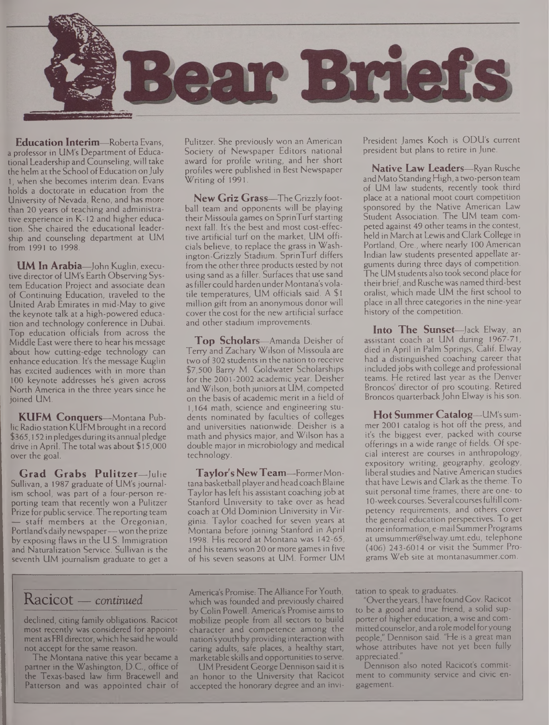

**Education Interim—**Roberta Evans, a professor in UM's Department of Educational Leadership and Counseling, will take the helm at the School of Education onJuly 1, when she becomes interim dean. Evans holds a doctorate in education from the University of Nevada, Reno, and has more than 20 years of teaching and administrative experience in K-12 and higher education. She chaired the educational leadership and counseling department at UM from 1991 to 1998.

**UM In Arabia—**John Kuglin, executive director of UM's Earth Observing System Education Project and associate dean of Continuing Education, traveled to the United Arab Emirates in mid-May to give the keynote talk at a high-powered education and technology conference in Dubai. Top education officials from across the Middle East were there to hear his message about how cutting-edge technology can enhance education. It's the message Kuglin has excited audiences with in more than 100 keynote addresses he's given across North America in the three years since he joined UM.

**KUFM Conquers—**Montana PublicRadio station KUFM brought in a record \$365,152 in pledges during its annual pledge drive in April. The total was about \$ 15,000 over the goal.

**Grad Grabs Pulitzer—**Julie Sullivan, a 1987 graduate of UM's journalism school, was part of a four-person reporting team that recently won a Pulitzer Prize for public service. The reporting team staff members at the Oregonian, Portland's daily newspaper—won the prize by exposing flaws in the U.S. Immigration and Naturalization Service. Sullivan is the seventh UM journalism graduate to get a Pulitzer. She previously won an American Society of Newspaper Editors national award for profile writing, and her short profiles were published in Best Newspaper Writing of 1991.

**New Griz Grass—**The Grizzly football team and opponents will be playing their Missoula games on SprinTurf starting next fall. It's the best and most cost-effective artificial turf on the market, UM officials believe, to replace the grass in Washington-Grizzly Stadium. SprinTurf differs from the other three products tested by not using sand as a filler. Surfaces that use sand as filler could harden under Montana's volatile temperatures, UM officials said. A \$1 million gift from an anonymous donor will cover the cost for the new artificial surface and other stadium improvements.

**Top Scholars—**Amanda Deisher of Terry and Zachary Wilson of Missoula are two of 302 students in the nation to receive \$7,500 Barry M. Goldwater Scholarships for the 2001-2002 academic year. Deisher and Wilson, both juniors at UM, competed on the basis of academic merit in a field of 1,164 math, science and engineering students nominated by faculties of colleges and universities nationwide. Deisher is a math and physics major, and Wilson has a double major in microbiology and medical technology.

**Taylor's NewTeam—**FormerMontana basketball player and head coach Blaine Taylor has left his assistant coaching job at Stanford University to take over as head coach at Old Dominion University in Virginia. Taylor coached for seven years at Montana before joining Stanford in April 1998. His record at Montana was 142-65, and his teams won 20 ormore games in five of his seven seasons at UM. Former UM President James Koch is ODU's current president but plans to retire in June.

**Native Law Leaders—**Ryan Rusche and Mato Standing High, a two-person team of UM law students, recently took third place at a national moot court competition sponsored by the Native American Law Student Association. The UM team competed against 49 other teams in the contest, held in March at Lewis and Clark College in Portland, Ore., where nearly 100 American Indian law students presented appellate arguments during three days of competition. The UM students also took second place for their brief, and Rusche was named third-best oralist, which made UM the first school to place in all three categories in the nine-year history of the competition.

**Into The Sunset—**Jack Elway, an assistant coach at UM during 1967-71, died in April in Palm Springs, Calif. Elway had a distinguished coaching career that included jobs with college and professional teams. He retired last year as the Denver Broncos' director of pro scouting. Retired Broncos quarterback John Elway is his son.

**Hot Summer Catalog—**UM'ssummer 2001 catalog is hot off the press, and it's the biggest ever, packed with course offerings in a wide range of fields. Of special interest are courses in anthropology, expository writing, geography, geology, liberal studies and Native American studies that have Lewis and Clark as the theme. To suit personal time frames, there are one- to 10-weekcourses. Several coursesfulfill competency requirements, and others cover the general education perspectives. To get more information, e-mail SummerPrograms at [umsummer@selway.umt.edu](mailto:umsummer@selway.umt.edu), telephone (406) 243-6014 or visit the Summer Programs Web site at <montanasummer.com>.

### Racicot — *continued*

declined, citing family obligations. Racicot most recently was considered for appointment as FBI director, which he said he would not accept for the same reason.

The Montana native this year became a partner in the Washington, D.C., office of the Texas-based law firm Bracewell and Patterson and was appointed chair of America's Promise: The Alliance For Youth, which was founded and previously chaired by Colin Powell. America's Promise aimsto mobilize people from all sectors to build character and competence among the nation'syouth by providinginteractionwith caring adults, safe places, a healthy start, marketable skills and opportunities to serve.

UM President George Dennison said it is an honor to the University that Racicot accepted the honorary degree and an invitation to speak to graduates.

'Over the years, I have found Gov. Racicot to be a good and true friend, a solid supporter of higher education, a wise and committed counselor, and a role model for young people," Dennison said. "He is a great man whose attributes have not yet been fully appreciated.

Dennison also noted Racicot's commitment to community service and civic engagement.